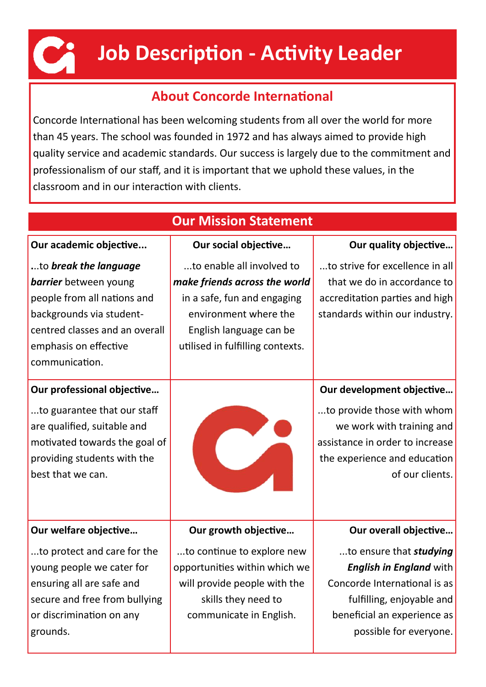

# **Job Description - Activity Leader**

# **About Concorde International**

Concorde International has been welcoming students from all over the world for more than 45 years. The school was founded in 1972 and has always aimed to provide high quality service and academic standards. Our success is largely due to the commitment and professionalism of our staff, and it is important that we uphold these values, in the classroom and in our interaction with clients.

| <b>Our Mission Statement</b>                                                                                                                                                                  |                                                                                                                                                                                   |                                                                                                                                                                                        |  |  |  |  |  |  |
|-----------------------------------------------------------------------------------------------------------------------------------------------------------------------------------------------|-----------------------------------------------------------------------------------------------------------------------------------------------------------------------------------|----------------------------------------------------------------------------------------------------------------------------------------------------------------------------------------|--|--|--|--|--|--|
| Our academic objective                                                                                                                                                                        | Our social objective                                                                                                                                                              | Our quality objective                                                                                                                                                                  |  |  |  |  |  |  |
| to break the language<br><b>barrier</b> between young<br>people from all nations and<br>backgrounds via student-<br>centred classes and an overall<br>emphasis on effective<br>communication. | to enable all involved to<br>make friends across the world<br>in a safe, fun and engaging<br>environment where the<br>English language can be<br>utilised in fulfilling contexts. | to strive for excellence in all<br>that we do in accordance to<br>accreditation parties and high<br>standards within our industry.                                                     |  |  |  |  |  |  |
| Our professional objective<br>to guarantee that our staff<br>are qualified, suitable and<br>motivated towards the goal of<br>providing students with the<br>best that we can.                 |                                                                                                                                                                                   | Our development objective<br>to provide those with whom<br>we work with training and<br>assistance in order to increase<br>the experience and education<br>of our clients.             |  |  |  |  |  |  |
| Our welfare objective                                                                                                                                                                         | Our growth objective                                                                                                                                                              | Our overall objective                                                                                                                                                                  |  |  |  |  |  |  |
| to protect and care for the<br>young people we cater for<br>ensuring all are safe and<br>secure and free from bullying<br>or discrimination on any<br>grounds.                                | to continue to explore new<br>opportunities within which we<br>will provide people with the<br>skills they need to<br>communicate in English.                                     | to ensure that <i>studying</i><br><b>English in England with</b><br>Concorde International is as<br>fulfilling, enjoyable and<br>beneficial an experience as<br>possible for everyone. |  |  |  |  |  |  |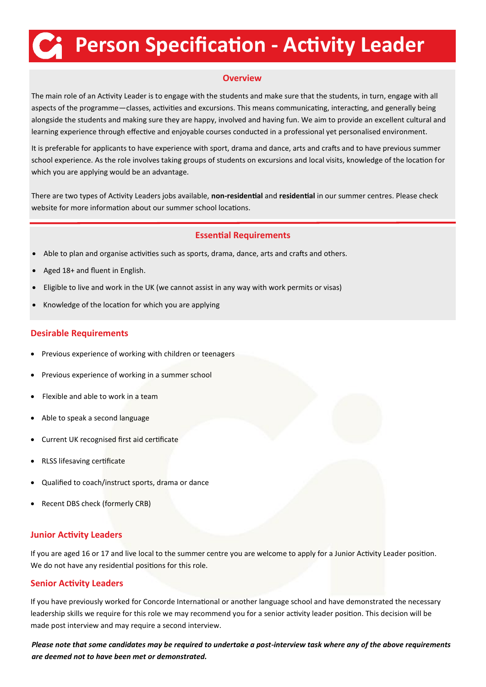# **Person Specification - Activity Leader**

#### **Overview**

The main role of an Activity Leader is to engage with the students and make sure that the students, in turn, engage with all aspects of the programme—classes, activities and excursions. This means communicating, interacting, and generally being alongside the students and making sure they are happy, involved and having fun. We aim to provide an excellent cultural and learning experience through effective and enjoyable courses conducted in a professional yet personalised environment.

It is preferable for applicants to have experience with sport, drama and dance, arts and crafts and to have previous summer school experience. As the role involves taking groups of students on excursions and local visits, knowledge of the location for which you are applying would be an advantage.

There are two types of Activity Leaders jobs available, **non-residential** and **residential** in our summer centres. Please check website for more information about our summer school locations.

#### **Essential Requirements**

- Able to plan and organise activities such as sports, drama, dance, arts and crafts and others.
- Aged 18+ and fluent in English.
- Eligible to live and work in the UK (we cannot assist in any way with work permits or visas)
- Knowledge of the location for which you are applying

#### **Desirable Requirements**

- Previous experience of working with children or teenagers
- Previous experience of working in a summer school
- Flexible and able to work in a team
- Able to speak a second language
- Current UK recognised first aid certificate
- RLSS lifesaving certificate
- Qualified to coach/instruct sports, drama or dance
- Recent DBS check (formerly CRB)

#### **Junior Activity Leaders**

If you are aged 16 or 17 and live local to the summer centre you are welcome to apply for a Junior Activity Leader position. We do not have any residential positions for this role.

#### **Senior Activity Leaders**

If you have previously worked for Concorde International or another language school and have demonstrated the necessary leadership skills we require for this role we may recommend you for a senior activity leader position. This decision will be made post interview and may require a second interview.

*Please note that some candidates may be required to undertake a post-interview task where any of the above requirements are deemed not to have been met or demonstrated.*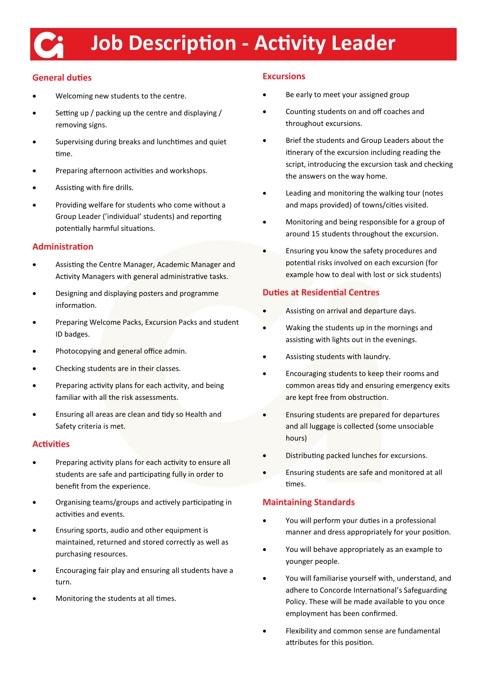# **Job Description - Activity Leader**

# **General duties**

- Welcoming new students to the centre.
- Setting up / packing up the centre and displaying / removing signs.
- Supervising during breaks and lunchtimes and quiet time.
- Preparing afternoon activities and workshops.
- Assisting with fire drills.
- Providing welfare for students who come without a Group Leader ('individual' students) and reporting potentially harmful situations.

## **Administration**

- Assisting the Centre Manager, Academic Manager and Activity Managers with general administrative tasks.
- Designing and displaying posters and programme information.
- Preparing Welcome Packs, Excursion Packs and student ID badges.
- Photocopying and general office admin.
- Checking students are in their classes.
- Preparing activity plans for each activity, and being familiar with all the risk assessments.
- Ensuring all areas are clean and tidy so Health and Safety criteria is met.

#### **Activities**

- Preparing activity plans for each activity to ensure all students are safe and participating fully in order to benefit from the experience.
- Organising teams/groups and actively participating in activities and events.
- Ensuring sports, audio and other equipment is maintained, returned and stored correctly as well as purchasing resources.
- Encouraging fair play and ensuring all students have a turn.
- Monitoring the students at all times.

# **Excursions**

- Be early to meet your assigned group
- Counting students on and off coaches and throughout excursions.
- Brief the students and Group Leaders about the itinerary of the excursion including reading the script, introducing the excursion task and checking the answers on the way home.
- Leading and monitoring the walking tour (notes and maps provided) of towns/cities visited.
- Monitoring and being responsible for a group of around 15 students throughout the excursion.
- Ensuring you know the safety procedures and potential risks involved on each excursion (for example how to deal with lost or sick students)

## **Duties at Residential Centres**

- Assisting on arrival and departure days.
- Waking the students up in the mornings and assisting with lights out in the evenings.
- Assisting students with laundry.
- Encouraging students to keep their rooms and common areas tidy and ensuring emergency exits are kept free from obstruction.
- Ensuring students are prepared for departures and all luggage is collected (some unsociable hours)
- Distributing packed lunches for excursions.
- Ensuring students are safe and monitored at all times.

#### **Maintaining Standards**

- You will perform your duties in a professional manner and dress appropriately for your position.
- You will behave appropriately as an example to younger people.
- You will familiarise yourself with, understand, and adhere to Concorde International's Safeguarding Policy. These will be made available to you once employment has been confirmed.
- Flexibility and common sense are fundamental attributes for this position.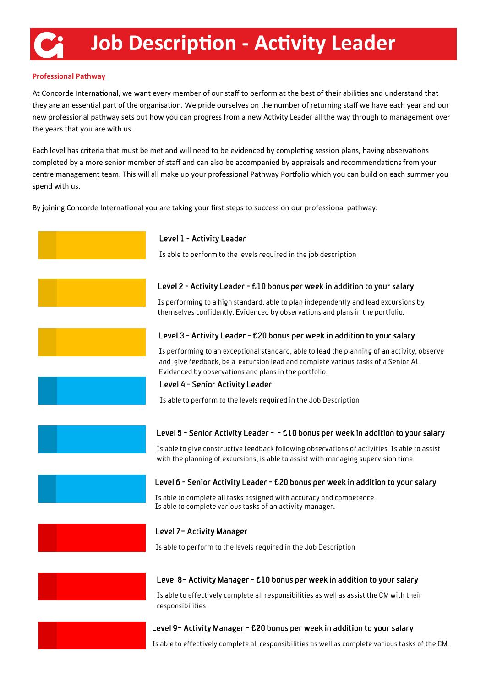#### **Professional Pathway**

At Concorde International, we want every member of our staff to perform at the best of their abilities and understand that they are an essential part of the organisation. We pride ourselves on the number of returning staff we have each year and our new professional pathway sets out how you can progress from a new Activity Leader all the way through to management over the years that you are with us.

Each level has criteria that must be met and will need to be evidenced by completing session plans, having observations completed by a more senior member of staff and can also be accompanied by appraisals and recommendations from your centre management team. This will all make up your professional Pathway Portfolio which you can build on each summer you spend with us.

By joining Concorde International you are taking your first steps to success on our professional pathway.



### Level 9– Activity Manager - £20 bonus per week in addition to your salary

Is able to effectively complete all responsibilities as well as complete various tasks of the CM.